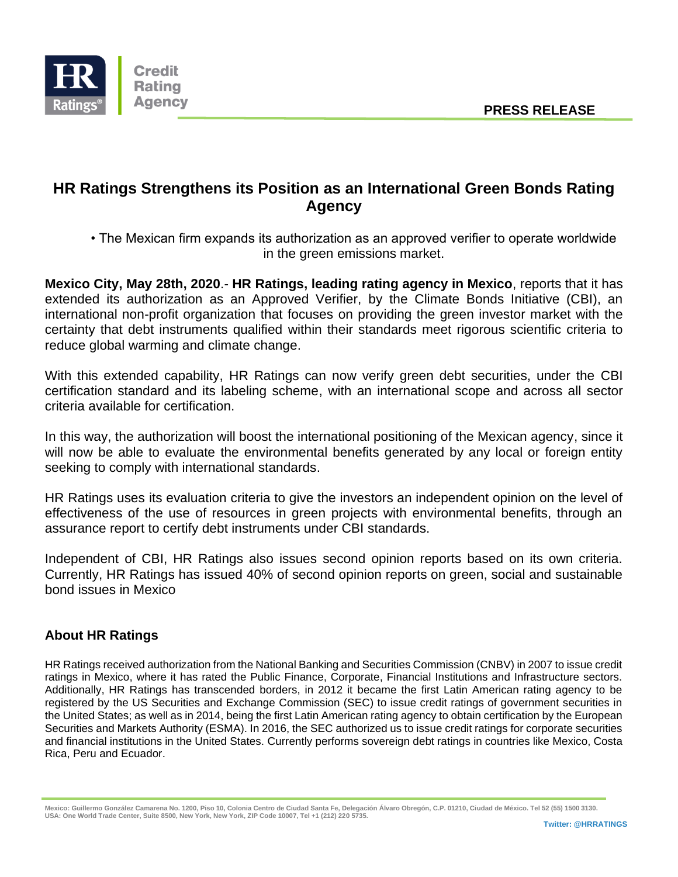

## **HR Ratings Strengthens its Position as an International Green Bonds Rating Agency**

• The Mexican firm expands its authorization as an approved verifier to operate worldwide in the green emissions market.

**Mexico City, May 28th, 2020**.- **HR Ratings, leading rating agency in Mexico**, reports that it has extended its authorization as an Approved Verifier, by the Climate Bonds Initiative (CBI), an international non-profit organization that focuses on providing the green investor market with the certainty that debt instruments qualified within their standards meet rigorous scientific criteria to reduce global warming and climate change.

With this extended capability, HR Ratings can now verify green debt securities, under the CBI certification standard and its labeling scheme, with an international scope and across all sector criteria available for certification.

In this way, the authorization will boost the international positioning of the Mexican agency, since it will now be able to evaluate the environmental benefits generated by any local or foreign entity seeking to comply with international standards.

HR Ratings uses its evaluation criteria to give the investors an independent opinion on the level of effectiveness of the use of resources in green projects with environmental benefits, through an assurance report to certify debt instruments under CBI standards.

Independent of CBI, HR Ratings also issues second opinion reports based on its own criteria. Currently, HR Ratings has issued 40% of second opinion reports on green, social and sustainable bond issues in Mexico

## **About HR Ratings**

HR Ratings received authorization from the National Banking and Securities Commission (CNBV) in 2007 to issue credit ratings in Mexico, where it has rated the Public Finance, Corporate, Financial Institutions and Infrastructure sectors. Additionally, HR Ratings has transcended borders, in 2012 it became the first Latin American rating agency to be registered by the US Securities and Exchange Commission (SEC) to issue credit ratings of government securities in the United States; as well as in 2014, being the first Latin American rating agency to obtain certification by the European Securities and Markets Authority (ESMA). In 2016, the SEC authorized us to issue credit ratings for corporate securities and financial institutions in the United States. Currently performs sovereign debt ratings in countries like Mexico, Costa Rica, Peru and Ecuador.

**Mexico: Guillermo González Camarena No. 1200, Piso 10, Colonia Centro de Ciudad Santa Fe, Delegación Álvaro Obregón, C.P. 01210, Ciudad de México. Tel 52 (55) 1500 3130. USA: One World Trade Center, Suite 8500, New York, New York, ZIP Code 10007, Tel +1 (212) 220 5735.**